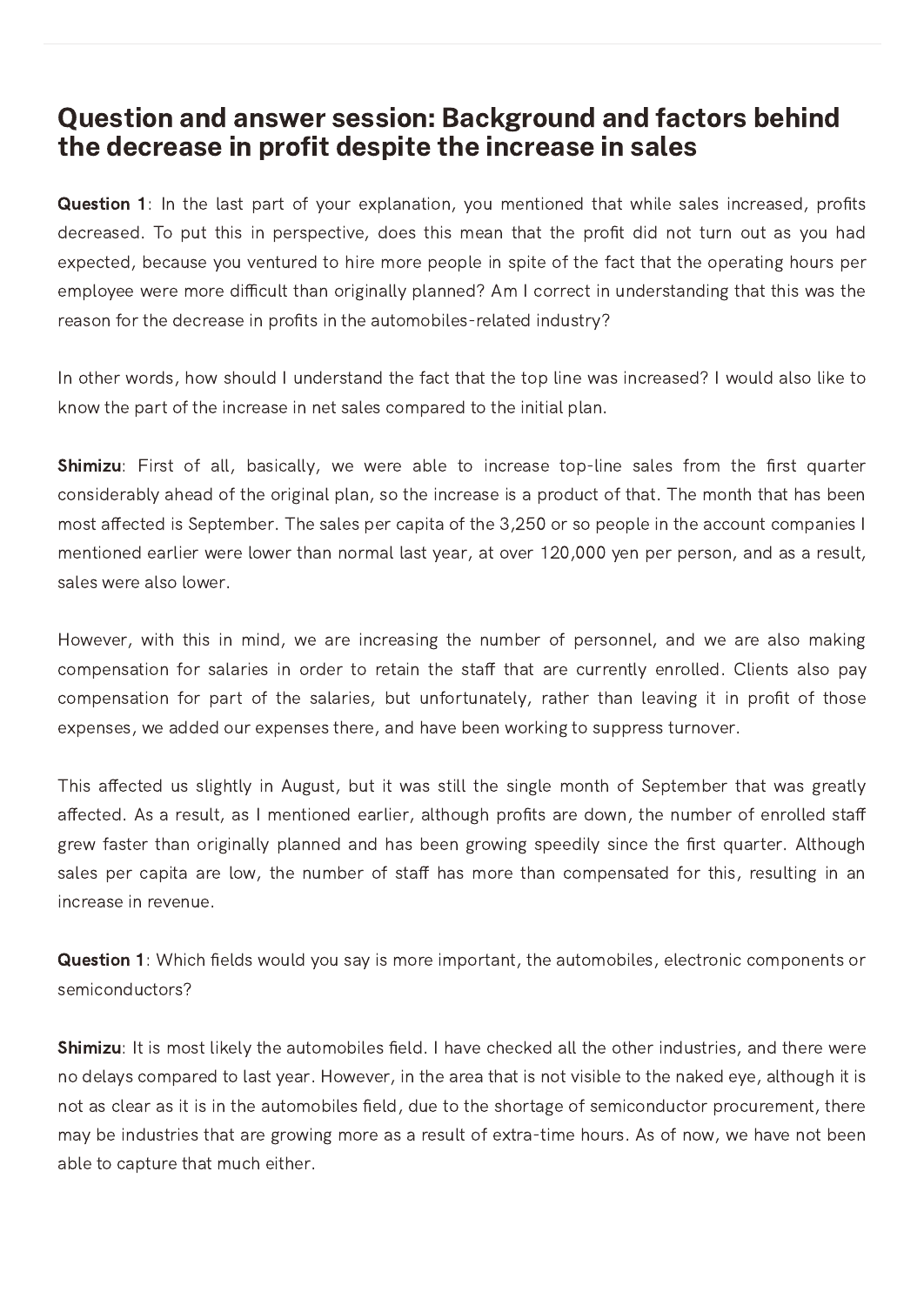## Question and answer session: Background and factors behind the decrease in profit despite the increase in sales

Question 1: In the last part of your explanation, you mentioned that while sales increased, profits decreased. To put this in perspective, does this mean that the profit did not turn out as you had expected, because you ventured to hire more people in spite of the fact that the operating hours per employee were more difficult than originally planned? Am I correct in understanding that this was the reason for the decrease in profits in the automobiles-related industry?

In other words, how should I understand the fact that the top line was increased? I would also like to know the part of the increase in net sales compared to the initial plan.

**Shimizu**: First of all, basically, we were able to increase top-line sales from the first quarter considerably ahead of the original plan, so the increase is a product of that. The month that has been most affected is September. The sales per capita of the  $3,250$  or so people in the account companies I mentioned earlier were lower than normal last year, at over 120,000 yen per person, and as a result, sales were also lower.

However, with this in mind, we are increasing the number of personnel, and we are also making compensation for salaries in order to retain the staff that are currently enrolled. Clients also pay compensation for part of the salaries, but unfortunately, rather than leaving it in profit of those expenses, we added our expenses there, and have been working to suppress turnover.

This affected us slightly in August, but it was still the single month of September that was greatly affected. As a result, as I mentioned earlier, although profits are down, the number of enrolled staff grew faster than originally planned and has been growing speedily since the first quarter. Although sales per capita are low, the number of staff has more than compensated for this, resulting in an increase in revenue.

Question 1: Which fields would you say is more important, the automobiles, electronic components or semiconductors?

**Shimizu**: It is most likely the automobiles field. I have checked all the other industries, and there were no delays compared to last year. However, in the area that is not visible to the naked eye, although it is not as clear as it is in the automobiles field, due to the shortage of semiconductor procurement, there may be industries that are growing more as a result of extra-time hours. As of now, we have not been able to capture that much either.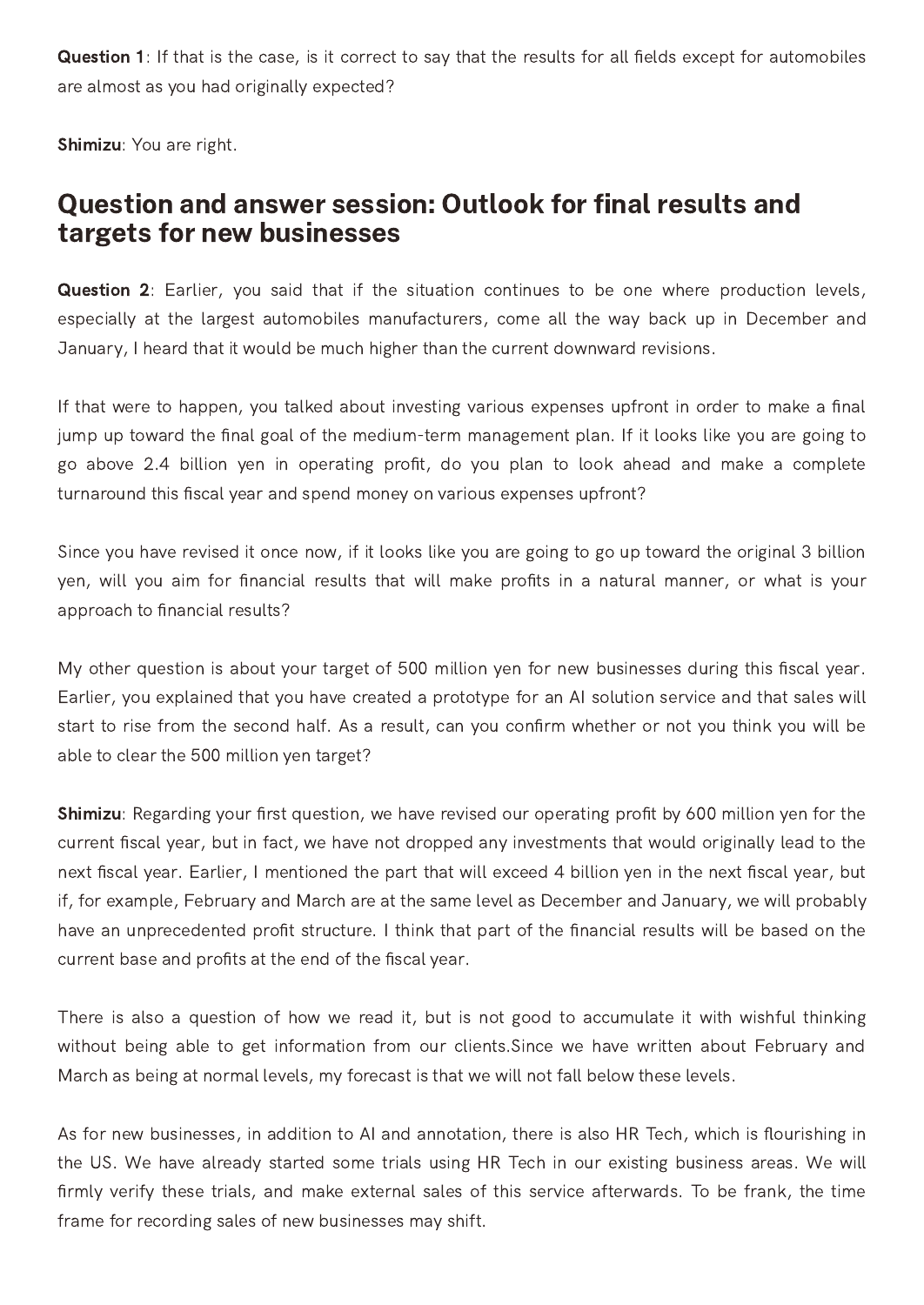Question 1: If that is the case, is it correct to say that the results for all fields except for automobiles are almost as you had originally expected?

Shimizu: You are right.

## Question and answer session: Outlook for final results and targets for new businesses

Question 2: Earlier, you said that if the situation continues to be one where production levels, especially at the largest automobiles manufacturers, come all the way back up in December and January, I heard that it would be much higher than the current downward revisions.

If that were to happen, you talked about investing various expenses upfront in order to make a final jump up toward the final goal of the medium-term management plan. If it looks like you are going to go above 2.4 billion yen in operating profit, do you plan to look ahead and make a complete turnaround this fiscal year and spend money on various expenses upfront?

Since you have revised it once now, if it looks like you are going to go up toward the original 3 billion yen, will you aim for financial results that will make profits in a natural manner, or what is your approach to financial results?

My other question is about your target of 500 million yen for new businesses during this fiscal year. Earlier, you explained that you have created a prototype for an AI solution service and that sales will start to rise from the second half. As a result, can you confirm whether or not you think you will be able to clear the 500 million yen target?

Shimizu: Regarding your first question, we have revised our operating profit by 600 million yen for the current fiscal year, but in fact, we have not dropped any investments that would originally lead to the next fiscal year. Earlier, I mentioned the part that will exceed 4 billion yen in the next fiscal year, but if, for example, February and March are at the same level as December and January, we will probably have an unprecedented profit structure. I think that part of the financial results will be based on the current base and profits at the end of the fiscal year.

There is also a question of how we read it, but is not good to accumulate it with wishful thinking without being able to get information from our clients.Since we have written about February and March as being at normal levels, my forecast is that we will not fall below these levels.

As for new businesses, in addition to AI and annotation, there is also HR Tech, which is flourishing in the US. We have already started some trials using HR Tech in our existing business areas. We will firmly verify these trials, and make external sales of this service afterwards. To be frank, the time frame for recording sales of new businesses may shift.